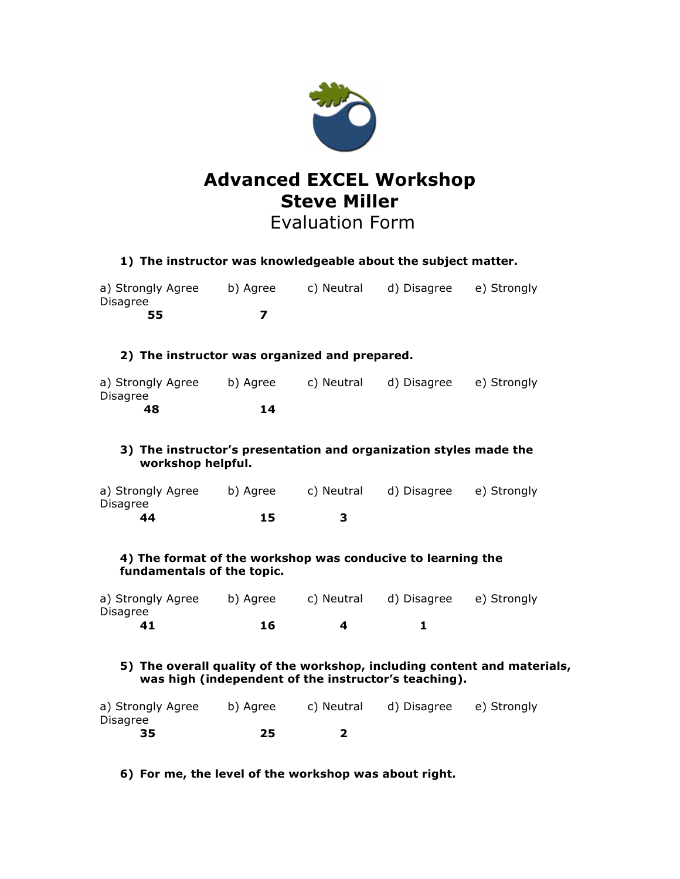

# **Advanced EXCEL Workshop Steve Miller** Evaluation Form

| 1) The instructor was knowledgeable about the subject matter.                                                                    |          |            |                         |             |  |
|----------------------------------------------------------------------------------------------------------------------------------|----------|------------|-------------------------|-------------|--|
| a) Strongly Agree<br><b>Disagree</b>                                                                                             | b) Agree | c) Neutral | d) Disagree             | e) Strongly |  |
| 55                                                                                                                               | 7        |            |                         |             |  |
| 2) The instructor was organized and prepared.                                                                                    |          |            |                         |             |  |
| a) Strongly Agree<br>Disagree                                                                                                    | b) Agree | c) Neutral | d) Disagree e) Strongly |             |  |
| 48                                                                                                                               | 14       |            |                         |             |  |
| 3) The instructor's presentation and organization styles made the<br>workshop helpful.                                           |          |            |                         |             |  |
| a) Strongly Agree<br><b>Disagree</b>                                                                                             | b) Agree | c) Neutral | d) Disagree e) Strongly |             |  |
| 44                                                                                                                               | 15       | 3          |                         |             |  |
| 4) The format of the workshop was conducive to learning the<br>fundamentals of the topic.                                        |          |            |                         |             |  |
| a) Strongly Agree<br>Disagree                                                                                                    | b) Agree | c) Neutral | d) Disagree e) Strongly |             |  |
| 41                                                                                                                               | 16       | 4          | 1                       |             |  |
| 5) The overall quality of the workshop, including content and materials,<br>was high (independent of the instructor's teaching). |          |            |                         |             |  |

| a) Strongly Agree | b) Agree | c) Neutral d) Disagree e) Strongly |  |
|-------------------|----------|------------------------------------|--|
| Disagree          |          |                                    |  |
| 35                | 25       |                                    |  |

**6) For me, the level of the workshop was about right.**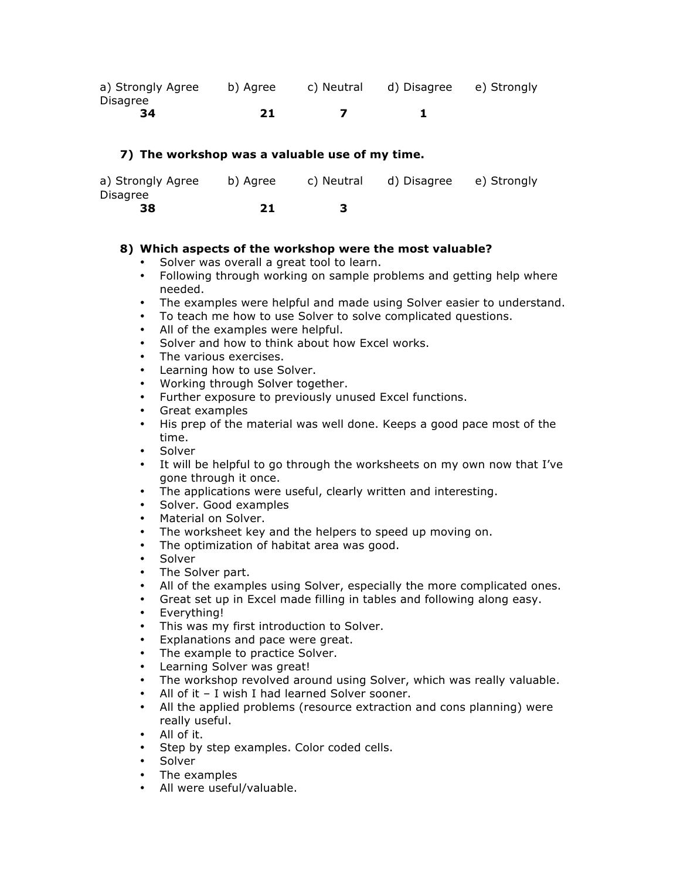| a) Strongly Agree | b) Agree | c) Neutral d) Disagree e) Strongly |  |
|-------------------|----------|------------------------------------|--|
| Disagree          |          |                                    |  |
| -34               | 21       |                                    |  |

### **7) The workshop was a valuable use of my time.**

| a) Strongly Agree | b) Agree | c) Neutral | d) Disagree e) Strongly |  |
|-------------------|----------|------------|-------------------------|--|
| Disagree          |          |            |                         |  |
| 38                | 21       |            |                         |  |

### **8) Which aspects of the workshop were the most valuable?**

- Solver was overall a great tool to learn.
- Following through working on sample problems and getting help where needed.
- The examples were helpful and made using Solver easier to understand.
- To teach me how to use Solver to solve complicated questions.
- All of the examples were helpful.
- Solver and how to think about how Excel works.
- The various exercises.
- Learning how to use Solver.
- Working through Solver together.
- Further exposure to previously unused Excel functions.
- Great examples
- His prep of the material was well done. Keeps a good pace most of the time.
- **Solver**
- It will be helpful to go through the worksheets on my own now that I've gone through it once.
- The applications were useful, clearly written and interesting.
- Solver. Good examples
- Material on Solver.
- The worksheet key and the helpers to speed up moving on.
- The optimization of habitat area was good.
- Solver
- The Solver part.
- All of the examples using Solver, especially the more complicated ones.
- Great set up in Excel made filling in tables and following along easy.
- Everything!<br>• This was my
- This was my first introduction to Solver.<br>• Explanations and pace were great
- Explanations and pace were great.
- The example to practice Solver.
- Learning Solver was great!
- The workshop revolved around using Solver, which was really valuable.<br>• All of it I wish I had learned Solver sooner.
- All of it I wish I had learned Solver sooner.<br>• All the annlied problems (resource extraction
- All the applied problems (resource extraction and cons planning) were really useful.
- All of it.
- Step by step examples. Color coded cells.
- Solver
- The examples
- All were useful/valuable.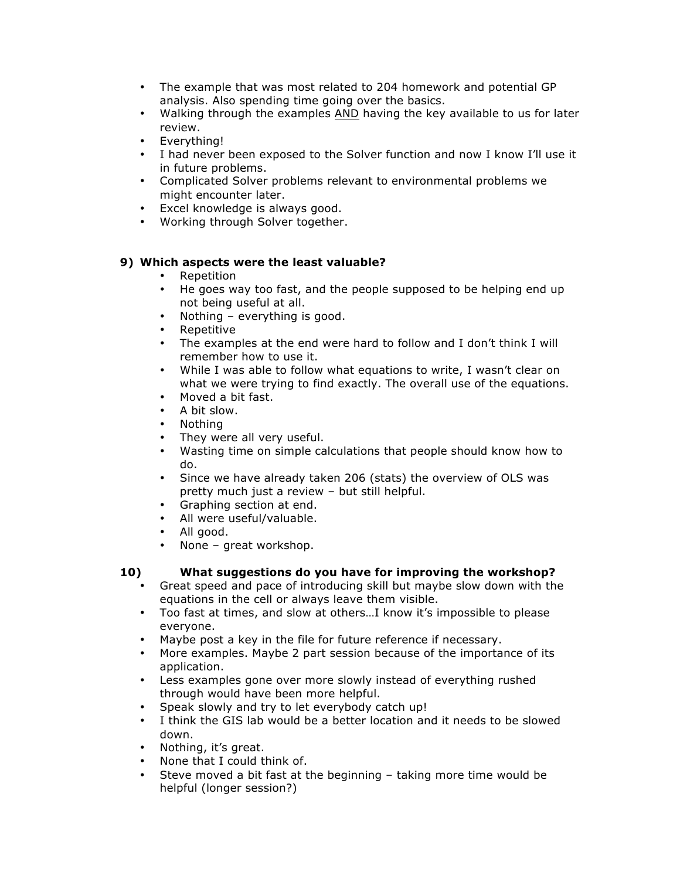- The example that was most related to 204 homework and potential GP analysis. Also spending time going over the basics.
- Walking through the examples AND having the key available to us for later review.
- Everything!
- I had never been exposed to the Solver function and now I know I'll use it in future problems.
- Complicated Solver problems relevant to environmental problems we might encounter later.
- Excel knowledge is always good.
- Working through Solver together.

# **9) Which aspects were the least valuable?**

- 
- Repetition<br>• He goes wa • He goes way too fast, and the people supposed to be helping end up not being useful at all.
- Nothing everything is good.
- Repetitive
- The examples at the end were hard to follow and I don't think I will remember how to use it.
- While I was able to follow what equations to write, I wasn't clear on what we were trying to find exactly. The overall use of the equations.
- Moved a bit fast.
- A bit slow.
- Nothing
- They were all very useful.<br>• Wasting time on simple ca
- Wasting time on simple calculations that people should know how to do.
- Since we have already taken 206 (stats) the overview of OLS was pretty much just a review – but still helpful.
- Graphing section at end.
- All were useful/valuable.
- All good.
- None great workshop.

# **10) What suggestions do you have for improving the workshop?**

- Great speed and pace of introducing skill but maybe slow down with the equations in the cell or always leave them visible.
- Too fast at times, and slow at others…I know it's impossible to please everyone.
- Maybe post a key in the file for future reference if necessary.
- More examples. Maybe 2 part session because of the importance of its application.
- Less examples gone over more slowly instead of everything rushed through would have been more helpful.
- Speak slowly and try to let everybody catch up!<br>• I think the GIS lab would be a better location an
- I think the GIS lab would be a better location and it needs to be slowed down.
- Nothing, it's great.
- None that I could think of.<br>• Steve moved a bit fast at t
- Steve moved a bit fast at the beginning taking more time would be helpful (longer session?)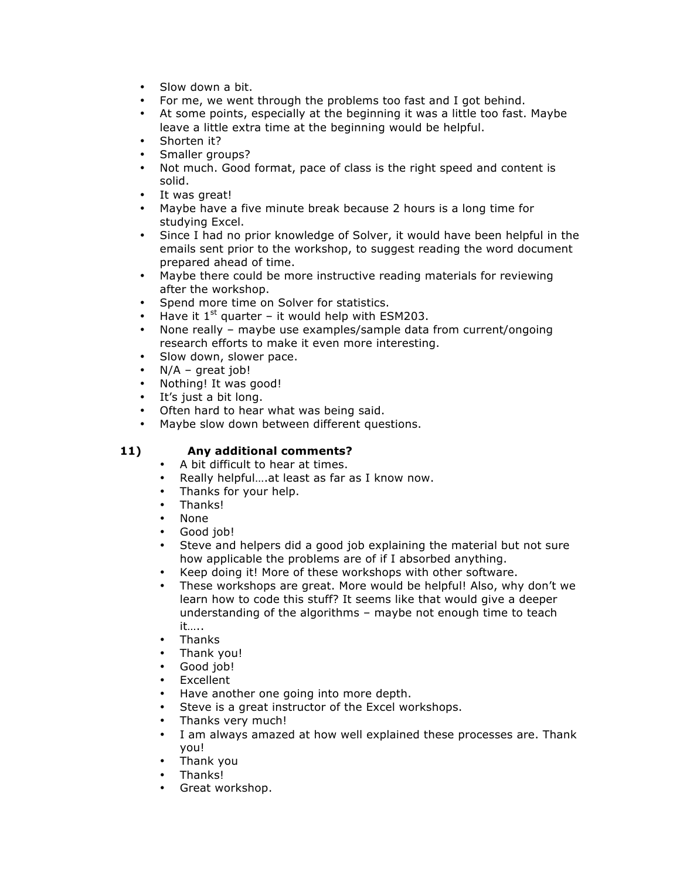- Slow down a bit.
- For me, we went through the problems too fast and I got behind.
- At some points, especially at the beginning it was a little too fast. Maybe leave a little extra time at the beginning would be helpful.
- Shorten it?
- Smaller groups?
- Not much. Good format, pace of class is the right speed and content is solid.
- It was great!
- Maybe have a five minute break because 2 hours is a long time for studying Excel.
- Since I had no prior knowledge of Solver, it would have been helpful in the emails sent prior to the workshop, to suggest reading the word document prepared ahead of time.
- Maybe there could be more instructive reading materials for reviewing after the workshop.
- Spend more time on Solver for statistics.<br>• Have it 1<sup>st</sup> quarter it would help with ES
- Have it  $1^{st}$  quarter it would help with ESM203.
- None really maybe use examples/sample data from current/ongoing research efforts to make it even more interesting.
- Slow down, slower pace.
- $N/A$  great job!
- Nothing! It was good!
- It's just a bit long.
- Often hard to hear what was being said.
- Maybe slow down between different questions.

# **11) Any additional comments?**

- A bit difficult to hear at times.
- Really helpful….at least as far as I know now.
- Thanks for your help.
- Thanks!
- None<br>• Good
- Good job!
- Steve and helpers did a good job explaining the material but not sure how applicable the problems are of if I absorbed anything.
- Keep doing it! More of these workshops with other software.
- These workshops are great. More would be helpful! Also, why don't we learn how to code this stuff? It seems like that would give a deeper understanding of the algorithms – maybe not enough time to teach it…..
- Thanks
- Thank you!
- Good job!
- Excellent<br>• Have ano
- Have another one going into more depth.
- Steve is a great instructor of the Excel workshops.
- Thanks very much!
- I am always amazed at how well explained these processes are. Thank you!
- Thank you
- Thanks!
- Great workshop.